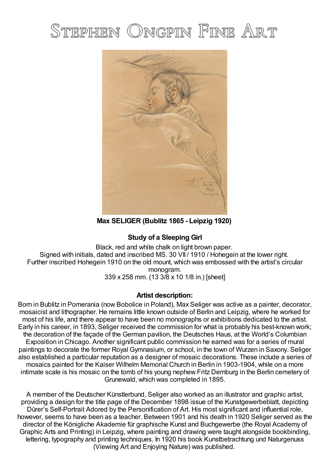## STEPHEN ONGPIN FINE ART



**Max SELIGER (Bublitz 1865 - Leipzig 1920)**

## **Study of a Sleeping Girl**

Black, red and white chalk on light brown paper. Signed with initials, dated and inscribed MS. 30 VII / 1910 / Hohegein at the lower right. Further inscribed Hohegein 1910 on the old mount, which was embossed with the artist's circular monogram. 339 x 258 mm. (13 3/8 x 10 1/8 in.) [sheet]

## **Artist description:**

Born in Bublitz in Pomerania (now Bobolice in Poland), Max Seliger was active as a painter, decorator, mosaicist and lithographer. He remains little known outside of Berlin and Leipzig, where he worked for most of his life, and there appear to have been no monographs or exhibitions dedicated to the artist. Early in his career, in 1893, Seliger received the commission for what is probably his best-known work; the decoration of the façade of the German pavilion, the Deutsches Haus, at the World's Columbian Exposition in Chicago. Another significant public commission he earned was for a series of mural paintings to decorate the former Royal Gymnasium, or school, in the town of Wurzen in Saxony. Seliger also established a particular reputation as a designer of mosaic decorations. These include a series of mosaics painted for the Kaiser Wilhelm Memorial Church in Berlin in 1903-1904, while on a more intimate scale is his mosaic on the tomb of his young nephew Fritz Dernburg in the Berlin cemetery of Grunewald, which was completed in 1895.

A member of the Deutscher Künstlerbund, Seliger also worked as an illustrator and graphic artist, providing a design for the title page of the December 1898 issue of the Kunstgewerbeblatt, depicting Dürer's Self-Portrait Adored by the Personification of Art. His most significant and influential role, however, seems to have been as a teacher. Between 1901 and his death in 1920 Seliger served as the director of the Königliche Akademie für graphische Kunst and Buchgewerbe (the Royal Academy of Graphic Arts and Printing) in Leipzig, where painting and drawing were taught alongside bookbinding, lettering, typography and printing techniques. In 1920 his book Kunstbetrachtung und Naturgenuss (Viewing Art and Enjoying Nature) was published.